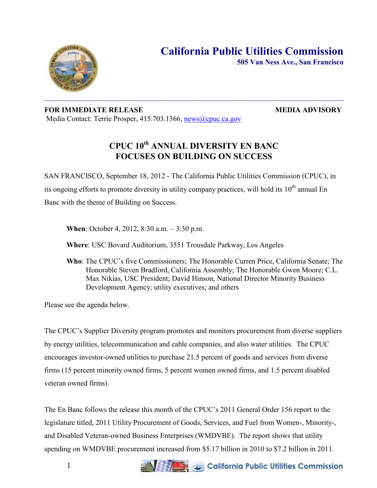

**505 Van Ness Ave., San Francisco**

## **FOR IMMEDIATE RELEASE MEDIA ADVISORY** Media Contact: Terrie Prosper, 415.703.1366, [news@cpuc.ca.gov](mailto:news@cpuc.ca.gov)

# **CPUC 10th ANNUAL DIVERSITY EN BANC FOCUSES ON BUILDING ON SUCCESS**

SAN FRANCISCO, September 18, 2012 - The California Public Utilities Commission (CPUC), in its ongoing efforts to promote diversity in utility company practices, will hold its  $10<sup>th</sup>$  annual En Banc with the theme of Building on Success.

**When**: October 4, 2012, 8:30 a.m. – 3:30 p.m.

**Where**: USC Bovard Auditorium, 3551 Trousdale Parkway, Los Angeles

**Who**: The CPUC's five Commissioners; The Honorable Curren Price, California Senate; The Honorable Steven Bradford, California Assembly; The Honorable Gwen Moore; C.L. Max Nikias, USC President; David Hinson, National Director Minority Business Development Agency; utility executives; and others

Please see the agenda below.

The CPUC's Supplier Diversity program promotes and monitors procurement from diverse suppliers by energy utilities, telecommunication and cable companies, and also water utilities. The CPUC encourages investor-owned utilities to purchase 21.5 percent of goods and services from diverse firms (15 percent minority owned firms, 5 percent women owned firms, and 1.5 percent disabled veteran owned firms).

The En Banc follows the release this month of the CPUC's 2011 General Order 156 report to the legislature titled, 2011 Utility Procurement of Goods, Services, and Fuel from Women-, Minority-, and Disabled Veteran-owned Business Enterprises (WMDVBE). The report shows that utility spending on WMDVBE procurement increased from \$5.17 billion in 2010 to \$7.2 billion in 2011.

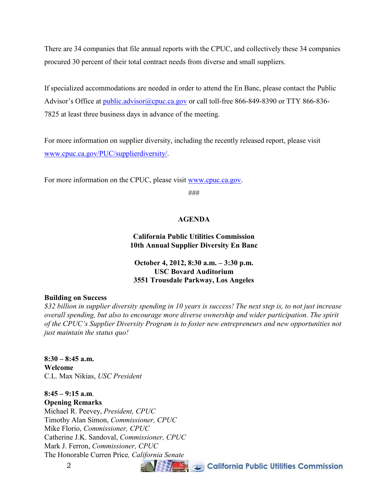There are 34 companies that file annual reports with the CPUC, and collectively these 34 companies procured 30 percent of their total contract needs from diverse and small suppliers.

If specialized accommodations are needed in order to attend the En Banc, please contact the Public Advisor's Office at [public.advisor@cpuc.ca.gov](mailto:public.advisor@cpuc.ca.gov) or call toll-free 866-849-8390 or TTY 866-836-7825 at least three business days in advance of the meeting.

For more information on supplier diversity, including the recently released report, please visit [www.cpuc.ca.gov/PUC/supplierdiversity/.](http://www.cpuc.ca.gov/PUC/supplierdiversity/)

For more information on the CPUC, please visit [www.cpuc.ca.gov.](http://www.cpuc.ca.gov/)

###

## **AGENDA**

## **California Public Utilities Commission 10th Annual Supplier Diversity En Banc**

## **October 4, 2012, 8:30 a.m. – 3:30 p.m. USC Bovard Auditorium 3551 Trousdale Parkway, Los Angeles**

### **Building on Success**

*\$32 billion in supplier diversity spending in 10 years is success! The next step is, to not just increase overall spending, but also to encourage more diverse ownership and wider participation. The spirit of the CPUC's Supplier Diversity Program is to foster new entrepreneurs and new opportunities not just maintain the status quo!* 

**8:30 – 8:45 a.m. Welcome**  C.L. Max Nikias, *USC President* 

# **8:45 – 9:15 a.m**.

**Opening Remarks**  Michael R. Peevey, *President, CPUC*  Timothy Alan Simon, *Commissioner, CPUC*  Mike Florio, *Commissioner, CPUC*  Catherine J.K. Sandoval, *Commissioner, CPUC*  Mark J. Ferron, *Commissioner, CPUC*  The Honorable Curren Price*, California Senate* 

2

California Public Utilities Commission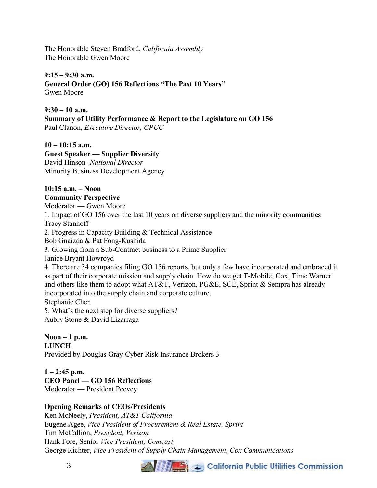The Honorable Steven Bradford, *California Assembly*  The Honorable Gwen Moore

## **9:15 – 9:30 a.m.**

**General Order (GO) 156 Reflections "The Past 10 Years"**  Gwen Moore

## **9:30 – 10 a.m.**

**Summary of Utility Performance & Report to the Legislature on GO 156** 

Paul Clanon, *Executive Director, CPUC* 

## **10 – 10:15 a.m.**

**Guest Speaker — Supplier Diversity**  David Hinson- *National Director*  Minority Business Development Agency

#### **10:15 a.m. – Noon Community Perspective**

Moderator — Gwen Moore

1. Impact of GO 156 over the last 10 years on diverse suppliers and the minority communities Tracy Stanhoff

2. Progress in Capacity Building & Technical Assistance

Bob Gnaizda & Pat Fong-Kushida

3. Growing from a Sub-Contract business to a Prime Supplier

Janice Bryant Howroyd

4. There are 34 companies filing GO 156 reports, but only a few have incorporated and embraced it as part of their corporate mission and supply chain. How do we get T-Mobile, Cox, Time Warner and others like them to adopt what AT&T, Verizon, PG&E, SCE, Sprint & Sempra has already incorporated into the supply chain and corporate culture. Stephanie Chen

5. What's the next step for diverse suppliers? Aubry Stone & David Lizarraga

**Noon – 1 p.m. LUNCH**  Provided by Douglas Gray-Cyber Risk Insurance Brokers 3

 $1 - 2:45$  p.m. **CEO Panel — GO 156 Reflections**  Moderator — President Peevey

## **Opening Remarks of CEOs/Presidents**

Ken McNeely, *President, AT&T California*  Eugene Agee, *Vice President of Procurement & Real Estate, Sprint*  Tim McCallion, *President, Verizon*  Hank Fore, Senior *Vice President, Comcast*  George Richter, *Vice President of Supply Chain Management, Cox Communications*